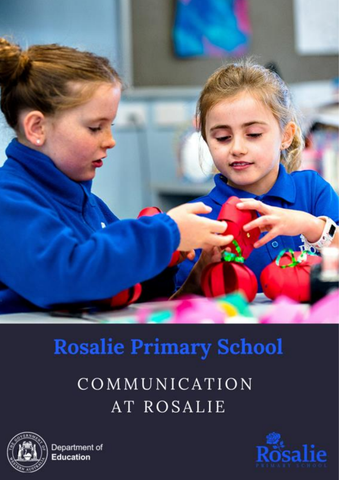

# **Rosalie Primary School**

COMMUNICATION AT ROSALIE



Department of **Education** 

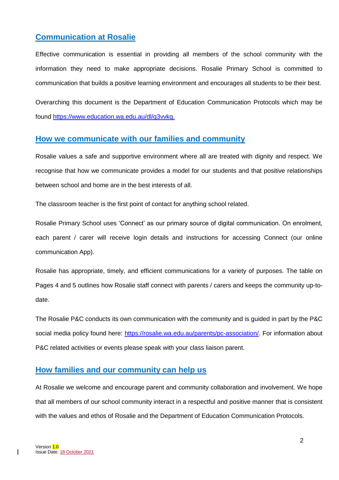## **Communication at Rosalie**

Effective communication is essential in providing all members of the school community with the information they need to make appropriate decisions. Rosalie Primary School is committed to communication that builds a positive learning environment and encourages all students to be their best.

Overarching this document is the Department of Education Communication Protocols which may be found [https://www.education.wa.edu.au/dl/q3vvkq.](https://www.education.wa.edu.au/dl/q3vvkq)

#### **How we communicate with our families and community**

Rosalie values a safe and supportive environment where all are treated with dignity and respect. We recognise that how we communicate provides a model for our students and that positive relationships between school and home are in the best interests of all.

The classroom teacher is the first point of contact for anything school related.

Rosalie Primary School uses 'Connect' as our primary source of digital communication. On enrolment, each parent / carer will receive login details and instructions for accessing Connect (our online communication App).

Rosalie has appropriate, timely, and efficient communications for a variety of purposes. The table on Pages 4 and 5 outlines how Rosalie staff connect with parents / carers and keeps the community up-todate.

The Rosalie P&C conducts its own communication with the community and is guided in part by the P&C social media policy found here: [https://rosalie.wa.edu.au/parents/pc-association/.](https://rosalie.wa.edu.au/parents/pc-association/) For information about P&C related activities or events please speak with your class liaison parent.

### **How families and our community can help us**

At Rosalie we welcome and encourage parent and community collaboration and involvement. We hope that all members of our school community interact in a respectful and positive manner that is consistent with the values and ethos of Rosalie and the Department of Education Communication Protocols.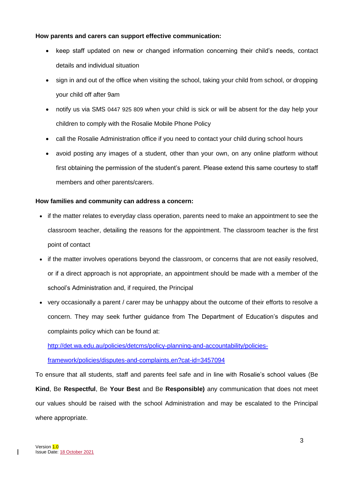#### **How parents and carers can support effective communication:**

- keep staff updated on new or changed information concerning their child's needs, contact details and individual situation
- sign in and out of the office when visiting the school, taking your child from school, or dropping your child off after 9am
- notify us via SMS 0447 925 809 when your child is sick or will be absent for the day help your children to comply with the Rosalie Mobile Phone Policy
- call the Rosalie Administration office if you need to contact your child during school hours
- avoid posting any images of a student, other than your own, on any online platform without first obtaining the permission of the student's parent. Please extend this same courtesy to staff members and other parents/carers.

#### **How families and community can address a concern:**

- if the matter relates to everyday class operation, parents need to make an appointment to see the classroom teacher, detailing the reasons for the appointment. The classroom teacher is the first point of contact
- if the matter involves operations beyond the classroom, or concerns that are not easily resolved. or if a direct approach is not appropriate, an appointment should be made with a member of the school's Administration and, if required, the Principal
- very occasionally a parent / carer may be unhappy about the outcome of their efforts to resolve a concern. They may seek further guidance from The Department of Education's disputes and complaints policy which can be found at:

[http://det.wa.edu.au/policies/detcms/policy-planning-and-accountability/policies-](http://det.wa.edu.au/policies/detcms/policy-planning-and-accountability/policies-framework/policies/disputes-and-complaints.en?cat-id=3457094)

[framework/policies/disputes-and-complaints.en?cat-id=3457094](http://det.wa.edu.au/policies/detcms/policy-planning-and-accountability/policies-framework/policies/disputes-and-complaints.en?cat-id=3457094)

To ensure that all students, staff and parents feel safe and in line with Rosalie's school values (Be **Kind**, Be **Respectful**, Be **Your Best** and Be **Responsible)** any communication that does not meet our values should be raised with the school Administration and may be escalated to the Principal where appropriate.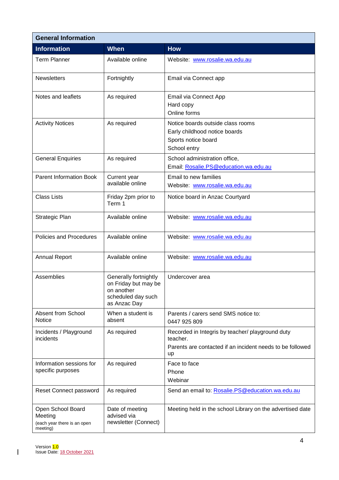| <b>General Information</b>                                              |                                                                                                   |                                                                                                                                 |  |
|-------------------------------------------------------------------------|---------------------------------------------------------------------------------------------------|---------------------------------------------------------------------------------------------------------------------------------|--|
| <b>Information</b>                                                      | <b>When</b>                                                                                       | <b>How</b>                                                                                                                      |  |
| <b>Term Planner</b>                                                     | Available online                                                                                  | Website: www.rosalie.wa.edu.au                                                                                                  |  |
| <b>Newsletters</b>                                                      | Fortnightly                                                                                       | Email via Connect app                                                                                                           |  |
| Notes and leaflets                                                      | As required                                                                                       | Email via Connect App<br>Hard copy<br>Online forms                                                                              |  |
| <b>Activity Notices</b>                                                 | As required                                                                                       | Notice boards outside class rooms<br>Early childhood notice boards<br>Sports notice board<br>School entry                       |  |
| <b>General Enquiries</b>                                                | As required                                                                                       | School administration office,<br>Email: Rosalie.PS@education.wa.edu.au                                                          |  |
| <b>Parent Information Book</b>                                          | Current year<br>available online                                                                  | Email to new families<br>Website: www.rosalie.wa.edu.au                                                                         |  |
| <b>Class Lists</b>                                                      | Friday 2pm prior to<br>Term 1                                                                     | Notice board in Anzac Courtyard                                                                                                 |  |
| Strategic Plan                                                          | Available online                                                                                  | Website: www.rosalie.wa.edu.au                                                                                                  |  |
| Policies and Procedures                                                 | Available online                                                                                  | Website: www.rosalie.wa.edu.au                                                                                                  |  |
| <b>Annual Report</b>                                                    | Available online                                                                                  | Website: www.rosalie.wa.edu.au                                                                                                  |  |
| Assemblies                                                              | Generally fortnightly<br>on Friday but may be<br>on another<br>scheduled day such<br>as Anzac Day | Undercover area                                                                                                                 |  |
| Absent from School<br><b>Notice</b>                                     | When a student is<br>absent                                                                       | Parents / carers send SMS notice to:<br>0447 925 809                                                                            |  |
| Incidents / Playground<br>incidents                                     | As required                                                                                       | Recorded in Integris by teacher/ playground duty<br>teacher.<br>Parents are contacted if an incident needs to be followed<br>up |  |
| Information sessions for<br>specific purposes                           | As required                                                                                       | Face to face<br>Phone<br>Webinar                                                                                                |  |
| Reset Connect password                                                  | As required                                                                                       | Send an email to: Rosalie.PS@education.wa.edu.au                                                                                |  |
| Open School Board<br>Meeting<br>(each year there is an open<br>meeting) | Date of meeting<br>advised via<br>newsletter (Connect)                                            | Meeting held in the school Library on the advertised date                                                                       |  |

 $\overline{\phantom{a}}$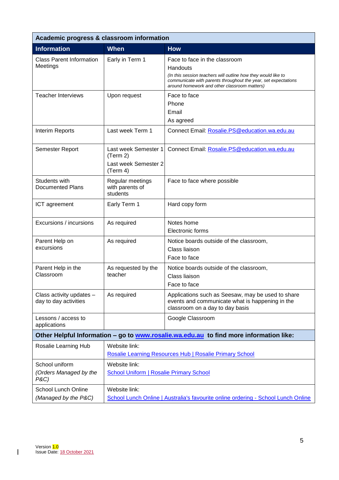| Academic progress & classroom information                                              |                                                                                                    |                                                                                                                                                                                                                              |  |
|----------------------------------------------------------------------------------------|----------------------------------------------------------------------------------------------------|------------------------------------------------------------------------------------------------------------------------------------------------------------------------------------------------------------------------------|--|
| <b>Information</b>                                                                     | <b>When</b>                                                                                        | <b>How</b>                                                                                                                                                                                                                   |  |
| <b>Class Parent Information</b><br>Meetings                                            | Early in Term 1                                                                                    | Face to face in the classroom<br>Handouts<br>(In this session teachers will outline how they would like to<br>communicate with parents throughout the year, set expectations<br>around homework and other classroom matters) |  |
| <b>Teacher Interviews</b>                                                              | Upon request                                                                                       | Face to face<br>Phone<br>Email<br>As agreed                                                                                                                                                                                  |  |
| Interim Reports                                                                        | Last week Term 1                                                                                   | Connect Email: Rosalie.PS@education.wa.edu.au                                                                                                                                                                                |  |
| Semester Report                                                                        | Last week Semester 1<br>(Term 2)<br>Last week Semester 2<br>(Term 4)                               | Connect Email: Rosalie.PS@education.wa.edu.au                                                                                                                                                                                |  |
| Students with<br>Documented Plans                                                      | Regular meetings<br>with parents of<br>students                                                    | Face to face where possible                                                                                                                                                                                                  |  |
| ICT agreement                                                                          | Early Term 1                                                                                       | Hard copy form                                                                                                                                                                                                               |  |
| Excursions / incursions                                                                | As required                                                                                        | Notes home<br>Electronic forms                                                                                                                                                                                               |  |
| Parent Help on<br>excursions                                                           | As required                                                                                        | Notice boards outside of the classroom,<br>Class liaison<br>Face to face                                                                                                                                                     |  |
| Parent Help in the<br>Classroom                                                        | As requested by the<br>teacher                                                                     | Notice boards outside of the classroom,<br>Class liaison<br>Face to face                                                                                                                                                     |  |
| Class activity updates -<br>day to day activities                                      | As required                                                                                        | Applications such as Seesaw, may be used to share<br>events and communicate what is happening in the<br>classroom on a day to day basis                                                                                      |  |
| Lessons / access to<br>applications                                                    |                                                                                                    | Google Classroom                                                                                                                                                                                                             |  |
| Other Helpful Information - go to www.rosalie.wa.edu.au to find more information like: |                                                                                                    |                                                                                                                                                                                                                              |  |
| Rosalie Learning Hub                                                                   | Website link:<br>Rosalie Learning Resources Hub   Rosalie Primary School                           |                                                                                                                                                                                                                              |  |
| School uniform<br>(Orders Managed by the<br>P&C)                                       | Website link:<br><b>School Uniform   Rosalie Primary School</b>                                    |                                                                                                                                                                                                                              |  |
| <b>School Lunch Online</b><br>(Managed by the P&C)                                     | Website link:<br>School Lunch Online   Australia's favourite online ordering - School Lunch Online |                                                                                                                                                                                                                              |  |

 $\overline{\phantom{a}}$